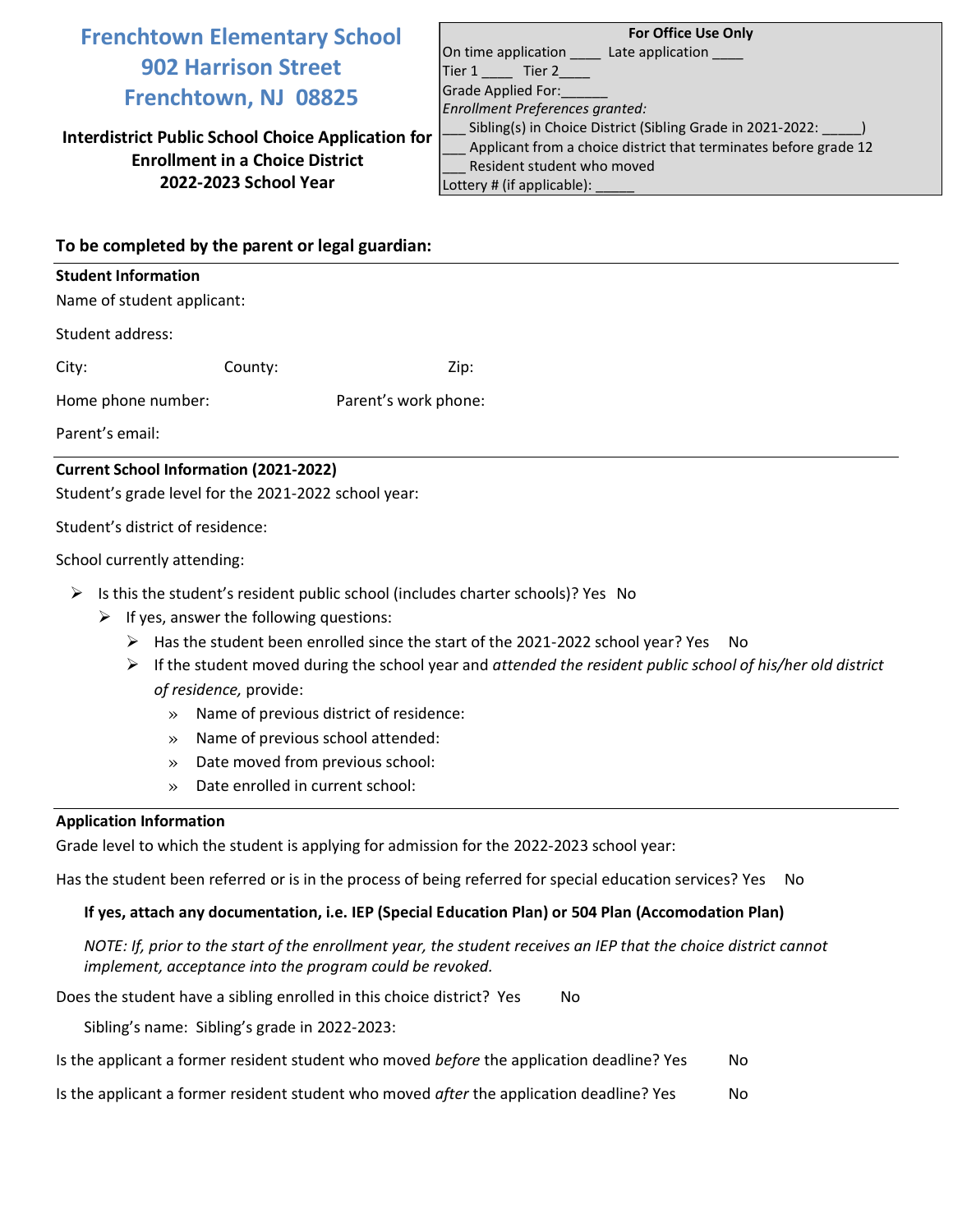# **Frenchtown Elementary School 902 Harrison Street Frenchtown, NJ 08825**

**Interdistrict Public School Choice Application for Enrollment in a Choice District 2022-2023 School Year**

| <b>For Office Use Only</b>                                       |
|------------------------------------------------------------------|
| On time application Late application                             |
| Tier 1 Tier 2                                                    |
| Grade Applied For:                                               |
| Enrollment Preferences granted:                                  |
| Sibling(s) in Choice District (Sibling Grade in 2021-2022:       |
| Applicant from a choice district that terminates before grade 12 |
| Resident student who moved                                       |
| Lottery # (if applicable):                                       |

### **To be completed by the parent or legal guardian:**

#### **Student Information**

Name of student applicant:

Student address:

City: County: 2ip:

Home phone number: Parent's work phone:

Parent's email:

## **Current School Information (2021-2022)**

Student's grade level for the 2021-2022 school year:

Student's district of residence:

School currently attending:

- $\triangleright$  Is this the student's resident public school (includes charter schools)? Yes No
	- $\triangleright$  If yes, answer the following questions:
		- ➢ Has the student been enrolled since the start of the 2021-2022 school year? Yes No
		- ➢ If the student moved during the school year and *attended the resident public school of his/her old district of residence,* provide:
			- » Name of previous district of residence:
			- » Name of previous school attended:
			- » Date moved from previous school:
			- » Date enrolled in current school:

### **Application Information**

Grade level to which the student is applying for admission for the 2022-2023 school year:

Has the student been referred or is in the process of being referred for special education services? Yes No

## **If yes, attach any documentation, i.e. IEP (Special Education Plan) or 504 Plan (Accomodation Plan)**

*NOTE: If, prior to the start of the enrollment year, the student receives an IEP that the choice district cannot implement, acceptance into the program could be revoked.* 

Does the student have a sibling enrolled in this choice district? Yes No

Sibling's name: Sibling's grade in 2022-2023:

| Is the applicant a former resident student who moved <i>before</i> the application deadline? Yes | No. |
|--------------------------------------------------------------------------------------------------|-----|
|--------------------------------------------------------------------------------------------------|-----|

Is the applicant a former resident student who moved *after* the application deadline? Yes No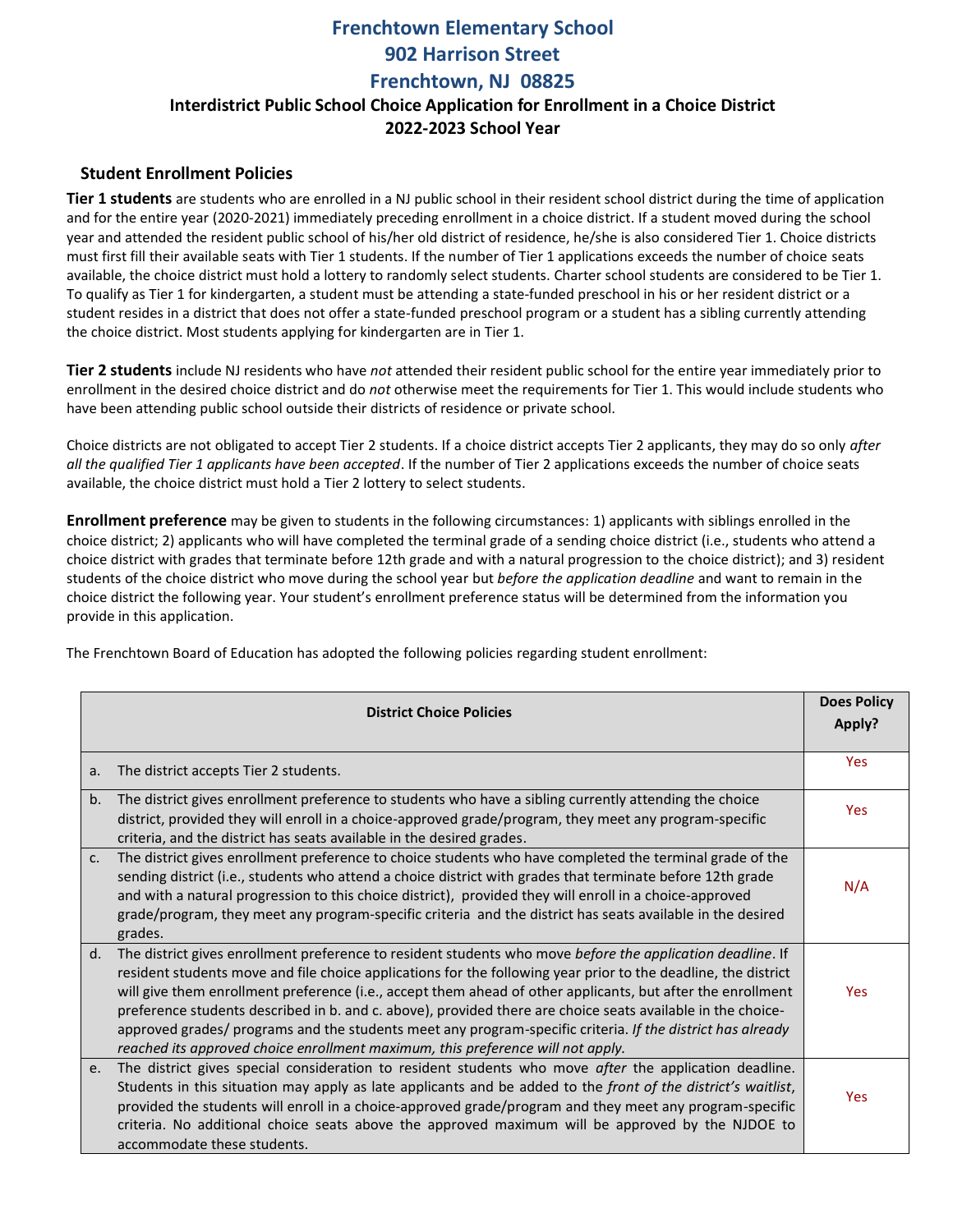# **Frenchtown Elementary School 902 Harrison Street Frenchtown, NJ 08825 Interdistrict Public School Choice Application for Enrollment in a Choice District 2022-2023 School Year**

### **Student Enrollment Policies**

**Tier 1 students** are students who are enrolled in a NJ public school in their resident school district during the time of application and for the entire year (2020-2021) immediately preceding enrollment in a choice district. If a student moved during the school year and attended the resident public school of his/her old district of residence, he/she is also considered Tier 1. Choice districts must first fill their available seats with Tier 1 students. If the number of Tier 1 applications exceeds the number of choice seats available, the choice district must hold a lottery to randomly select students. Charter school students are considered to be Tier 1. To qualify as Tier 1 for kindergarten, a student must be attending a state-funded preschool in his or her resident district or a student resides in a district that does not offer a state-funded preschool program or a student has a sibling currently attending the choice district. Most students applying for kindergarten are in Tier 1.

**Tier 2 students** include NJ residents who have *not* attended their resident public school for the entire year immediately prior to enrollment in the desired choice district and do *not* otherwise meet the requirements for Tier 1. This would include students who have been attending public school outside their districts of residence or private school.

Choice districts are not obligated to accept Tier 2 students. If a choice district accepts Tier 2 applicants, they may do so only *after all the qualified Tier 1 applicants have been accepted*. If the number of Tier 2 applications exceeds the number of choice seats available, the choice district must hold a Tier 2 lottery to select students.

**Enrollment preference** may be given to students in the following circumstances: 1) applicants with siblings enrolled in the choice district; 2) applicants who will have completed the terminal grade of a sending choice district (i.e., students who attend a choice district with grades that terminate before 12th grade and with a natural progression to the choice district); and 3) resident students of the choice district who move during the school year but *before the application deadline* and want to remain in the choice district the following year. Your student's enrollment preference status will be determined from the information you provide in this application.

The Frenchtown Board of Education has adopted the following policies regarding student enrollment:

|         | <b>District Choice Policies</b>                                                                                                                                                                                                                                                                                                                                                                                                                                                                                                                                                                                                                             | <b>Does Policy</b><br>Apply? |
|---------|-------------------------------------------------------------------------------------------------------------------------------------------------------------------------------------------------------------------------------------------------------------------------------------------------------------------------------------------------------------------------------------------------------------------------------------------------------------------------------------------------------------------------------------------------------------------------------------------------------------------------------------------------------------|------------------------------|
| a.      | The district accepts Tier 2 students.                                                                                                                                                                                                                                                                                                                                                                                                                                                                                                                                                                                                                       | Yes                          |
| b.      | The district gives enrollment preference to students who have a sibling currently attending the choice<br>district, provided they will enroll in a choice-approved grade/program, they meet any program-specific<br>criteria, and the district has seats available in the desired grades.                                                                                                                                                                                                                                                                                                                                                                   | <b>Yes</b>                   |
| $C_{1}$ | The district gives enrollment preference to choice students who have completed the terminal grade of the<br>sending district (i.e., students who attend a choice district with grades that terminate before 12th grade<br>and with a natural progression to this choice district), provided they will enroll in a choice-approved<br>grade/program, they meet any program-specific criteria and the district has seats available in the desired<br>grades.                                                                                                                                                                                                  | N/A                          |
| d.      | The district gives enrollment preference to resident students who move before the application deadline. If<br>resident students move and file choice applications for the following year prior to the deadline, the district<br>will give them enrollment preference (i.e., accept them ahead of other applicants, but after the enrollment<br>preference students described in b. and c. above), provided there are choice seats available in the choice-<br>approved grades/ programs and the students meet any program-specific criteria. If the district has already<br>reached its approved choice enrollment maximum, this preference will not apply. | Yes                          |
| e.      | The district gives special consideration to resident students who move after the application deadline.<br>Students in this situation may apply as late applicants and be added to the front of the district's waitlist,<br>provided the students will enroll in a choice-approved grade/program and they meet any program-specific<br>criteria. No additional choice seats above the approved maximum will be approved by the NJDOE to<br>accommodate these students.                                                                                                                                                                                       | Yes                          |